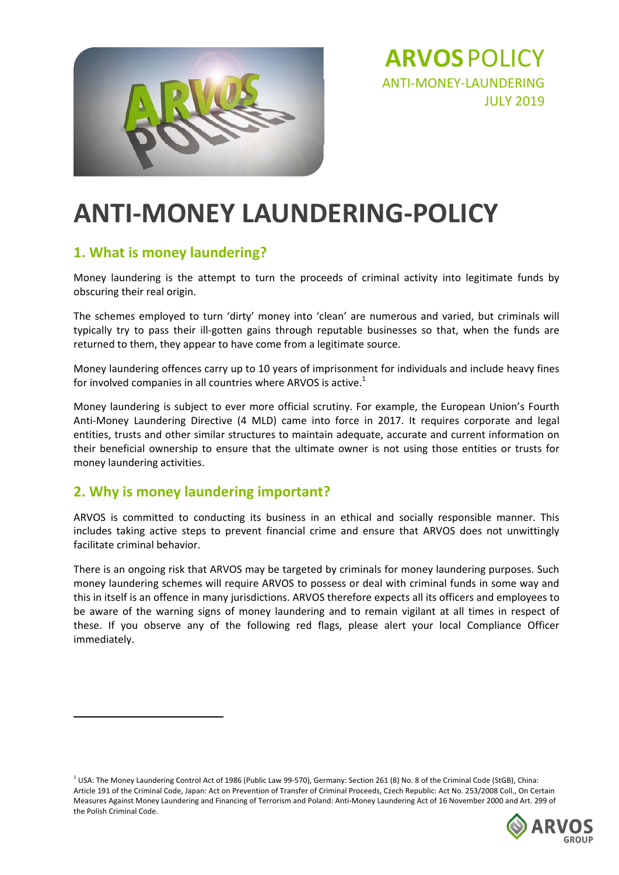

**ARVOS**POLICY ANTI‐MONEY‐LAUNDERING JULY 2019

# **ANTI‐MONEY LAUNDERING‐POLICY**

#### **1. What is money laundering?**

Money laundering is the attempt to turn the proceeds of criminal activity into legitimate funds by obscuring their real origin.

The schemes employed to turn 'dirty' money into 'clean' are numerous and varied, but criminals will typically try to pass their ill‐gotten gains through reputable businesses so that, when the funds are returned to them, they appear to have come from a legitimate source.

Money laundering offences carry up to 10 years of imprisonment for individuals and include heavy fines for involved companies in all countries where ARVOS is active. $1$ 

Money laundering is subject to ever more official scrutiny. For example, the European Union's Fourth Anti-Money Laundering Directive (4 MLD) came into force in 2017. It requires corporate and legal entities, trusts and other similar structures to maintain adequate, accurate and current information on their beneficial ownership to ensure that the ultimate owner is not using those entities or trusts for money laundering activities.

#### **2. Why is money laundering important?**

ARVOS is committed to conducting its business in an ethical and socially responsible manner. This includes taking active steps to prevent financial crime and ensure that ARVOS does not unwittingly facilitate criminal behavior.

There is an ongoing risk that ARVOS may be targeted by criminals for money laundering purposes. Such money laundering schemes will require ARVOS to possess or deal with criminal funds in some way and this in itself is an offence in many jurisdictions. ARVOS therefore expects all its officers and employees to be aware of the warning signs of money laundering and to remain vigilant at all times in respect of these. If you observe any of the following red flags, please alert your local Compliance Officer immediately.

<sup>&</sup>lt;sup>1</sup> USA: The Money Laundering Control Act of 1986 (Public Law 99-570), Germany: Section 261 (8) No. 8 of the Criminal Code (StGB), China: Article 191 of the Criminal Code, Japan: Act on Prevention of Transfer of Criminal Proceeds, Czech Republic: Act No. 253/2008 Coll., On Certain Measures Against Money Laundering and Financing of Terrorism and Poland: Anti‐Money Laundering Act of 16 November 2000 and Art. 299 of the Polish Criminal Code.

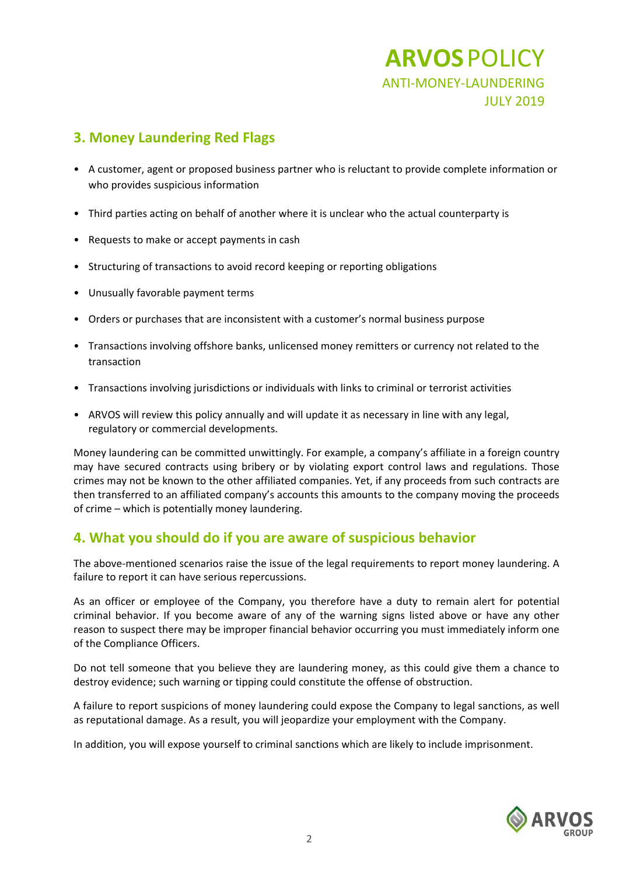## **ARVOS**POLICY ANTI‐MONEY‐LAUNDERING JULY 2019

#### **3. Money Laundering Red Flags**

- A customer, agent or proposed business partner who is reluctant to provide complete information or who provides suspicious information
- Third parties acting on behalf of another where it is unclear who the actual counterparty is
- Requests to make or accept payments in cash
- Structuring of transactions to avoid record keeping or reporting obligations
- Unusually favorable payment terms
- Orders or purchases that are inconsistent with a customer's normal business purpose
- Transactions involving offshore banks, unlicensed money remitters or currency not related to the transaction
- Transactions involving jurisdictions or individuals with links to criminal or terrorist activities
- ARVOS will review this policy annually and will update it as necessary in line with any legal, regulatory or commercial developments.

Money laundering can be committed unwittingly. For example, a company's affiliate in a foreign country may have secured contracts using bribery or by violating export control laws and regulations. Those crimes may not be known to the other affiliated companies. Yet, if any proceeds from such contracts are then transferred to an affiliated company's accounts this amounts to the company moving the proceeds of crime – which is potentially money laundering.

#### **4. What you should do if you are aware of suspicious behavior**

The above-mentioned scenarios raise the issue of the legal requirements to report money laundering. A failure to report it can have serious repercussions.

As an officer or employee of the Company, you therefore have a duty to remain alert for potential criminal behavior. If you become aware of any of the warning signs listed above or have any other reason to suspect there may be improper financial behavior occurring you must immediately inform one of the Compliance Officers.

Do not tell someone that you believe they are laundering money, as this could give them a chance to destroy evidence; such warning or tipping could constitute the offense of obstruction.

A failure to report suspicions of money laundering could expose the Company to legal sanctions, as well as reputational damage. As a result, you will jeopardize your employment with the Company.

In addition, you will expose yourself to criminal sanctions which are likely to include imprisonment.